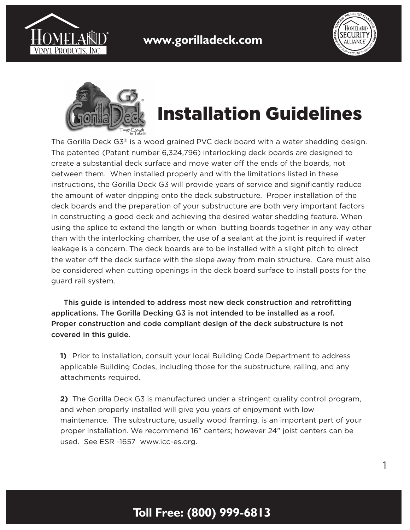



1



## Installation Guidelines

The Gorilla Deck G3® is a wood grained PVC deck board with a water shedding design. The patented (Patent number 6,324,796) interlocking deck boards are designed to create a substantial deck surface and move water off the ends of the boards, not between them. When installed properly and with the limitations listed in these instructions, the Gorilla Deck G3 will provide years of service and significantly reduce the amount of water dripping onto the deck substructure. Proper installation of the deck boards and the preparation of your substructure are both very important factors in constructing a good deck and achieving the desired water shedding feature. When using the splice to extend the length or when butting boards together in any way other than with the interlocking chamber, the use of a sealant at the joint is required if water leakage is a concern. The deck boards are to be installed with a slight pitch to direct the water off the deck surface with the slope away from main structure. Care must also be considered when cutting openings in the deck board surface to install posts for the guard rail system.

 This guide is intended to address most new deck construction and retrofitting applications. The Gorilla Decking G3 is not intended to be installed as a roof. Proper construction and code compliant design of the deck substructure is not covered in this guide.

**1)** Prior to installation, consult your local Building Code Department to address applicable Building Codes, including those for the substructure, railing, and any attachments required.

**2)** The Gorilla Deck G3 is manufactured under a stringent quality control program, and when properly installed will give you years of enjoyment with low maintenance. The substructure, usually wood framing, is an important part of your proper installation. We recommend 16" centers; however 24" joist centers can be used. See ESR -1657 www.icc-es.org.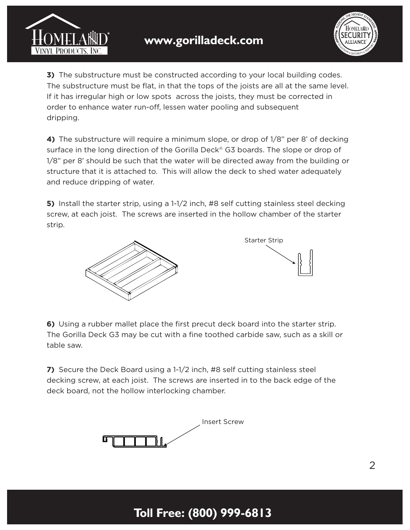



**3)** The substructure must be constructed according to your local building codes. The substructure must be flat, in that the tops of the joists are all at the same level. If it has irregular high or low spots across the joists, they must be corrected in order to enhance water run-off, lessen water pooling and subsequent dripping.

**4)** The substructure will require a minimum slope, or drop of 1/8" per 8' of decking surface in the long direction of the Gorilla Deck® G3 boards. The slope or drop of 1/8" per 8' should be such that the water will be directed away from the building or structure that it is attached to. This will allow the deck to shed water adequately and reduce dripping of water.

**5)** Install the starter strip, using a 1-1/2 inch, #8 self cutting stainless steel decking screw, at each joist. The screws are inserted in the hollow chamber of the starter strip.





**6)** Using a rubber mallet place the first precut deck board into the starter strip. The Gorilla Deck G3 may be cut with a fine toothed carbide saw, such as a skill or table saw.

**7)** Secure the Deck Board using a 1-1/2 inch, #8 self cutting stainless steel decking screw, at each joist. The screws are inserted in to the back edge of the deck board, not the hollow interlocking chamber.

**Toll Free: (800) 999-6813**

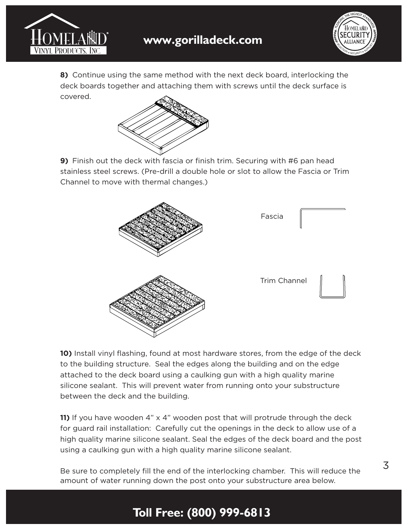



**8)** Continue using the same method with the next deck board, interlocking the deck boards together and attaching them with screws until the deck surface is covered.



**9)** Finish out the deck with fascia or finish trim. Securing with #6 pan head stainless steel screws. (Pre-drill a double hole or slot to allow the Fascia or Trim Channel to move with thermal changes.)



**10)** Install vinyl flashing, found at most hardware stores, from the edge of the deck to the building structure. Seal the edges along the building and on the edge attached to the deck board using a caulking gun with a high quality marine silicone sealant. This will prevent water from running onto your substructure between the deck and the building.

**11)** If you have wooden 4" x 4" wooden post that will protrude through the deck for guard rail installation: Carefully cut the openings in the deck to allow use of a high quality marine silicone sealant. Seal the edges of the deck board and the post using a caulking gun with a high quality marine silicone sealant.

Be sure to completely fill the end of the interlocking chamber. This will reduce the amount of water running down the post onto your substructure area below.

## **Toll Free: (800) 999-6813**